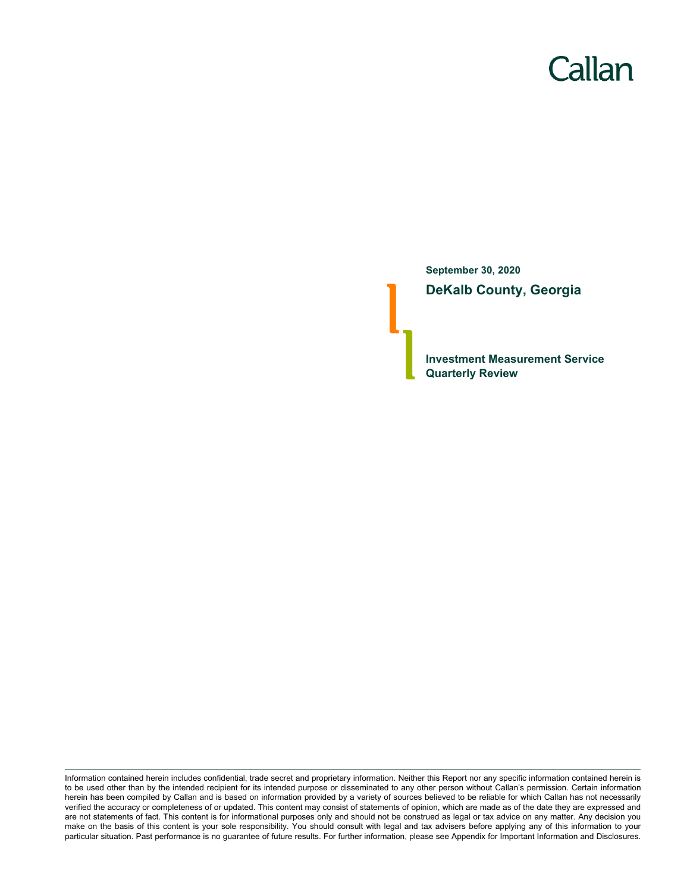# Callan

**September 30, 2020 DeKalb County, Georgia**

**Investment Measurement Service Quarterly Review**

Information contained herein includes confidential, trade secret and proprietary information. Neither this Report nor any specific information contained herein is to be used other than by the intended recipient for its intended purpose or disseminated to any other person without Callan's permission. Certain information herein has been compiled by Callan and is based on information provided by a variety of sources believed to be reliable for which Callan has not necessarily verified the accuracy or completeness of or updated. This content may consist of statements of opinion, which are made as of the date they are expressed and are not statements of fact. This content is for informational purposes only and should not be construed as legal or tax advice on any matter. Any decision you make on the basis of this content is your sole responsibility. You should consult with legal and tax advisers before applying any of this information to your particular situation. Past performance is no guarantee of future results. For further information, please see Appendix for Important Information and Disclosures.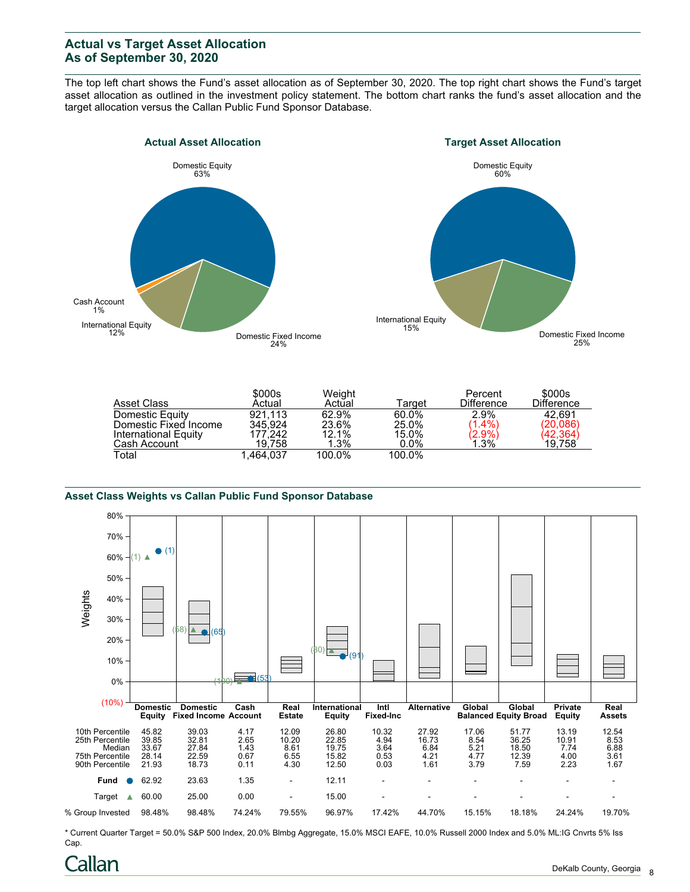# **Actual vs Target Asset Allocation As of September 30, 2020**

The top left chart shows the Fund's asset allocation as of September 30, 2020. The top right chart shows the Fund's target asset allocation as outlined in the investment policy statement. The bottom chart ranks the fund's asset allocation and the target allocation versus the Callan Public Fund Sponsor Database.





|                       | \$000s    | Weight  |         | Percent           | \$000s            |
|-----------------------|-----------|---------|---------|-------------------|-------------------|
| Asset Class           | Actual    | Actual  | Tarɑet  | <b>Difference</b> | <b>Difference</b> |
| Domestic Equity       | 921.113   | 62.9%   | 60.0%   | 2.9%              | 42.691            |
| Domestic Fixed Income | 345.924   | 23.6%   | 25.0%   | $(1.4\%)$         | (20,086)          |
| International Equity  | 177.242   | 12.1%   | 15.0%   | $(2.9\%)$<br>1.3% | (42, 364)         |
| Cash Account          | 19.758    | $1.3\%$ | $0.0\%$ |                   | 19,758            |
| Total                 | 1.464.037 | 100.0%  | 100.0%  |                   |                   |

#### **Asset Class Weights vs Callan Public Fund Sponsor Database**



\* Current Quarter Target = 50.0% S&P 500 Index, 20.0% Blmbg Aggregate, 15.0% MSCI EAFE, 10.0% Russell 2000 Index and 5.0% ML:IG Cnvrts 5% Iss Cap.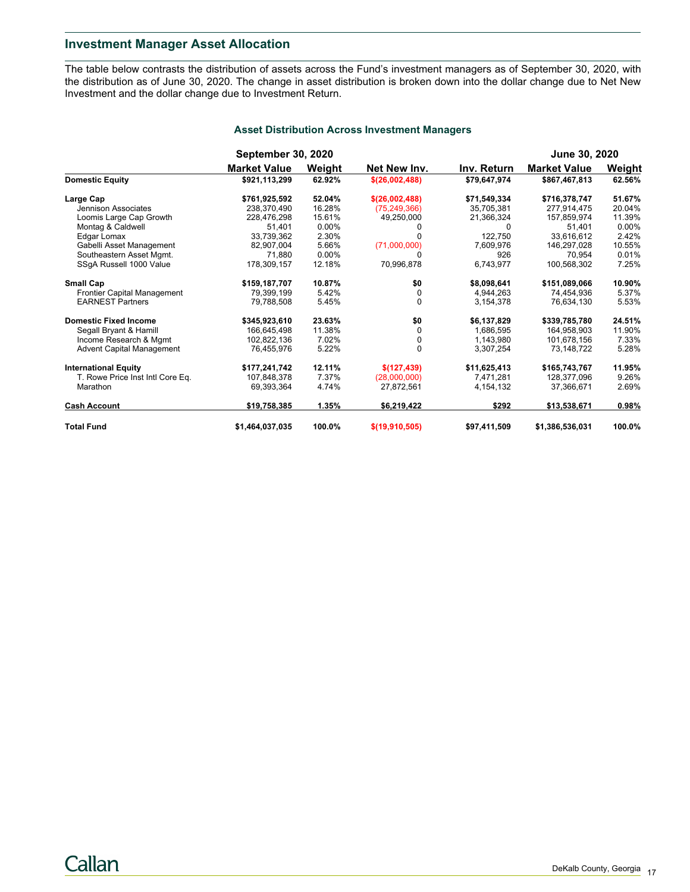## **Investment Manager Asset Allocation**

The table below contrasts the distribution of assets across the Fund's investment managers as of September 30, 2020, with the distribution as of June 30, 2020. The change in asset distribution is broken down into the dollar change due to Net New Investment and the dollar change due to Investment Return.

|                                    | <b>September 30, 2020</b> |        |                  |              | <b>June 30, 2020</b> |          |  |
|------------------------------------|---------------------------|--------|------------------|--------------|----------------------|----------|--|
|                                    | <b>Market Value</b>       | Weight | Net New Inv.     | Inv. Return  | <b>Market Value</b>  | Weight   |  |
| <b>Domestic Equity</b>             | \$921,113,299             | 62.92% | \$(26,002,488)   | \$79,647,974 | \$867,467,813        | 62.56%   |  |
| Large Cap                          | \$761,925,592             | 52.04% | \$(26,002,488)   | \$71,549,334 | \$716,378,747        | 51.67%   |  |
| Jennison Associates                | 238.370.490               | 16.28% | (75, 249, 366)   | 35,705,381   | 277.914.475          | 20.04%   |  |
| Loomis Large Cap Growth            | 228,476,298               | 15.61% | 49,250,000       | 21,366,324   | 157,859,974          | 11.39%   |  |
| Montag & Caldwell                  | 51,401                    | 0.00%  |                  |              | 51,401               | $0.00\%$ |  |
| Edgar Lomax                        | 33,739,362                | 2.30%  |                  | 122,750      | 33.616.612           | 2.42%    |  |
| Gabelli Asset Management           | 82,907,004                | 5.66%  | (71,000,000)     | 7,609,976    | 146,297,028          | 10.55%   |  |
| Southeastern Asset Mgmt.           | 71.880                    | 0.00%  |                  | 926          | 70.954               | 0.01%    |  |
| SSgA Russell 1000 Value            | 178,309,157               | 12.18% | 70,996,878       | 6,743,977    | 100,568,302          | 7.25%    |  |
| <b>Small Cap</b>                   | \$159,187,707             | 10.87% | \$0              | \$8,098,641  | \$151,089,066        | 10.90%   |  |
| <b>Frontier Capital Management</b> | 79,399,199                | 5.42%  | 0                | 4,944,263    | 74,454,936           | 5.37%    |  |
| <b>EARNEST Partners</b>            | 79,788,508                | 5.45%  | $\Omega$         | 3,154,378    | 76,634,130           | 5.53%    |  |
| <b>Domestic Fixed Income</b>       | \$345,923,610             | 23.63% | \$0              | \$6,137,829  | \$339,785,780        | 24.51%   |  |
| Segall Bryant & Hamill             | 166,645,498               | 11.38% | $\Omega$         | 1,686,595    | 164.958.903          | 11.90%   |  |
| Income Research & Mgmt             | 102,822,136               | 7.02%  | 0                | 1,143,980    | 101,678,156          | 7.33%    |  |
| <b>Advent Capital Management</b>   | 76.455.976                | 5.22%  | $\Omega$         | 3.307.254    | 73.148.722           | 5.28%    |  |
| <b>International Equity</b>        | \$177,241,742             | 12.11% | \$(127, 439)     | \$11,625,413 | \$165,743,767        | 11.95%   |  |
| T. Rowe Price Inst Intl Core Eq.   | 107,848,378               | 7.37%  | (28,000,000)     | 7,471,281    | 128,377,096          | 9.26%    |  |
| Marathon                           | 69,393,364                | 4.74%  | 27,872,561       | 4, 154, 132  | 37,366,671           | 2.69%    |  |
| <b>Cash Account</b>                | \$19,758,385              | 1.35%  | \$6,219,422      | \$292        | \$13,538,671         | 0.98%    |  |
| <b>Total Fund</b>                  | \$1,464,037,035           | 100.0% | \$(19, 910, 505) | \$97,411,509 | \$1,386,536,031      | 100.0%   |  |

### **Asset Distribution Across Investment Managers**

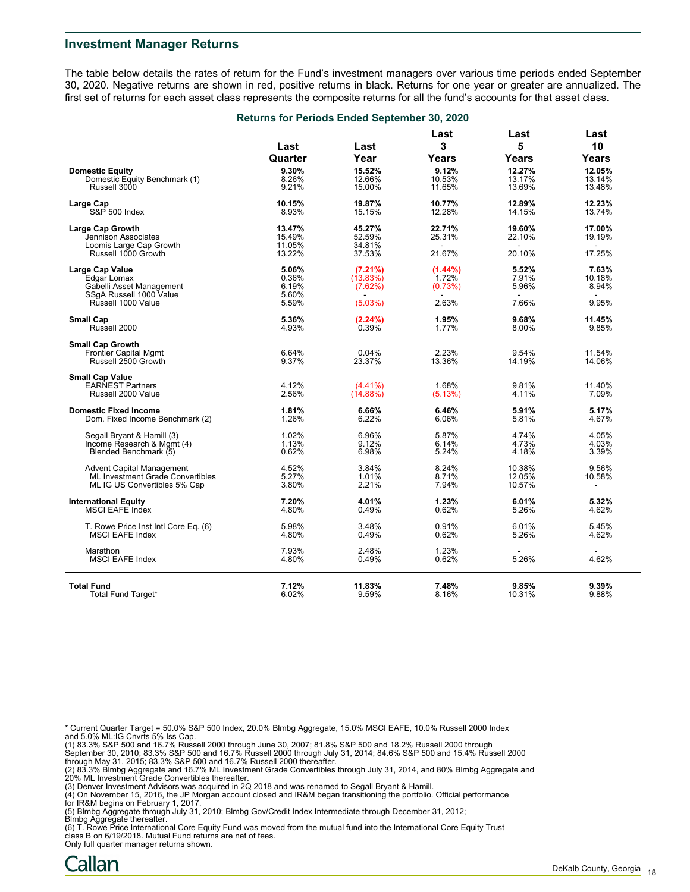#### **Investment Manager Returns**

The table below details the rates of return for the Fund's investment managers over various time periods ended September 30, 2020. Negative returns are shown in red, positive returns in black. Returns for one year or greater are annualized. The first set of returns for each asset class represents the composite returns for all the fund's accounts for that asset class.

|                                                         | Returns for Periods Ended September 30, 2020 |             |                          |           |                |
|---------------------------------------------------------|----------------------------------------------|-------------|--------------------------|-----------|----------------|
|                                                         | Last                                         | Last        | Last<br>3                | Last<br>5 | Last<br>10     |
|                                                         | Quarter                                      | Year        | Years                    | Years     | Years          |
| <b>Domestic Equity</b>                                  | 9.30%                                        | 15.52%      | 9.12%                    | 12.27%    | 12.05%         |
| Domestic Equity Benchmark (1)                           | 8.26%                                        | 12.66%      | 10.53%                   | 13.17%    | 13.14%         |
| Russell 3000                                            | 9.21%                                        | 15.00%      | 11.65%                   | 13.69%    | 13.48%         |
|                                                         |                                              |             |                          |           |                |
| Large Cap                                               | 10.15%                                       | 19.87%      | 10.77%                   | 12.89%    | 12.23%         |
| S&P 500 Index                                           | 8.93%                                        | 15.15%      | 12.28%                   | 14.15%    | 13.74%         |
| <b>Large Cap Growth</b>                                 | 13.47%                                       | 45.27%      | 22.71%                   | 19.60%    | 17.00%         |
| Jennison Associates                                     | 15.49%                                       | 52.59%      | 25.31%                   | 22.10%    | 19.19%         |
| Loomis Large Cap Growth                                 | 11.05%                                       | 34.81%      |                          |           | ÷.             |
| Russell 1000 Growth                                     | 13.22%                                       | 37.53%      | 21.67%                   | 20.10%    | 17.25%         |
|                                                         |                                              |             |                          |           |                |
| Large Cap Value                                         | 5.06%                                        | (7.21%)     | $(1.44\%)$               | 5.52%     | 7.63%          |
| Edgar Lomax                                             | 0.36%                                        | (13.83%)    | 1.72%                    | 7.91%     | 10.18%         |
| Gabelli Asset Management                                | 6.19%                                        | (7.62%)     | (0.73%)                  | 5.96%     | 8.94%          |
| SSgA Russell 1000 Value                                 | 5.60%                                        |             | $\overline{\phantom{a}}$ |           | $\sim$         |
| Russell 1000 Value                                      | 5.59%                                        | (5.03%)     | 2.63%                    | 7.66%     | 9.95%          |
| <b>Small Cap</b>                                        | 5.36%                                        | (2.24%)     | 1.95%                    | 9.68%     | 11.45%         |
| Russell 2000                                            | 4.93%                                        | 0.39%       | 1.77%                    | 8.00%     | 9.85%          |
|                                                         |                                              |             |                          |           |                |
| <b>Small Cap Growth</b><br><b>Frontier Capital Mgmt</b> | 6.64%                                        | 0.04%       | 2.23%                    | 9.54%     | 11.54%         |
|                                                         |                                              |             |                          |           |                |
| Russell 2500 Growth                                     | 9.37%                                        | 23.37%      | 13.36%                   | 14.19%    | 14.06%         |
| <b>Small Cap Value</b>                                  |                                              |             |                          |           |                |
| <b>EARNEST Partners</b>                                 | 4.12%                                        | $(4.41\%)$  | 1.68%                    | 9.81%     | 11.40%         |
| Russell 2000 Value                                      | 2.56%                                        | $(14.88\%)$ | (5.13%)                  | 4.11%     | 7.09%          |
| <b>Domestic Fixed Income</b>                            | 1.81%                                        | 6.66%       | 6.46%                    | 5.91%     | 5.17%          |
| Dom. Fixed Income Benchmark (2)                         | 1.26%                                        | 6.22%       | 6.06%                    | 5.81%     | 4.67%          |
|                                                         |                                              |             |                          |           |                |
| Segall Bryant & Hamill (3)                              | 1.02%                                        | 6.96%       | 5.87%                    | 4.74%     | 4.05%          |
| Income Research & Mgmt (4)                              | 1.13%                                        | 9.12%       | 6.14%                    | 4.73%     | 4.03%          |
| Blended Benchmark (5)                                   | 0.62%                                        | 6.98%       | 5.24%                    | 4.18%     | 3.39%          |
| <b>Advent Capital Management</b>                        | 4.52%                                        | 3.84%       | 8.24%                    | 10.38%    | 9.56%          |
| ML Investment Grade Convertibles                        | 5.27%                                        | 1.01%       | 8.71%                    | 12.05%    | 10.58%         |
| ML IG US Convertibles 5% Cap                            | 3.80%                                        | 2.21%       | 7.94%                    | 10.57%    | $\blacksquare$ |
|                                                         |                                              |             |                          |           |                |
| <b>International Equity</b>                             | 7.20%                                        | 4.01%       | 1.23%                    | 6.01%     | 5.32%          |
| MSCI EAFE Index                                         | 4.80%                                        | 0.49%       | 0.62%                    | 5.26%     | 4.62%          |
| T. Rowe Price Inst Intl Core Eq. (6)                    | 5.98%                                        | 3.48%       | 0.91%                    | 6.01%     | 5.45%          |
| <b>MSCI EAFE Index</b>                                  | 4.80%                                        | 0.49%       | 0.62%                    | 5.26%     | 4.62%          |
|                                                         |                                              |             |                          |           |                |
| Marathon                                                | 7.93%                                        | 2.48%       | 1.23%                    |           |                |
| <b>MSCI EAFE Index</b>                                  | 4.80%                                        | 0.49%       | 0.62%                    | 5.26%     | 4.62%          |
|                                                         |                                              |             |                          |           |                |
| <b>Total Fund</b>                                       | 7.12%                                        | 11.83%      | 7.48%                    | 9.85%     | 9.39%          |
| Total Fund Target*                                      | 6.02%                                        | 9.59%       | 8.16%                    | 10.31%    | 9.88%          |

\* Current Quarter Target = 50.0% S&P 500 Index, 20.0% Blmbg Aggregate, 15.0% MSCI EAFE, 10.0% Russell 2000 Index

and 5.0% ML:IG Cnvrts 5% Iss Cap.<br>(1) 83.3% S&P 500 and 16.7% Russell 2000 through June 30, 2007; 81.8% S&P 500 and 18.2% Russell 2000 through<br>September 30, 2010; 83.3% S&P 500 and 16.7% Russell 2000 through July 31, 2014;

(2) 83.3% Blmbg Aggregate and 16.7% ML Investment Grade Convertibles through July 31, 2014, and 80% Blmbg Aggregate and<br>20% ML Investment Grade Convertibles thereafter.<br>(3) Denver Investment Advisors was acquired in 2Q 201

for IR&M begins on February 1, 2017.

(5) Blmbg Aggregate through July 31, 2010; Blmbg Gov/Credit Index Intermediate through December 31, 2012;

Blmbg Aggregate thereafter. (6) T. Rowe Price International Core Equity Fund was moved from the mutual fund into the International Core Equity Trust class B on 6/19/2018. Mutual Fund returns are net of fees.

Only full quarter manager returns shown.

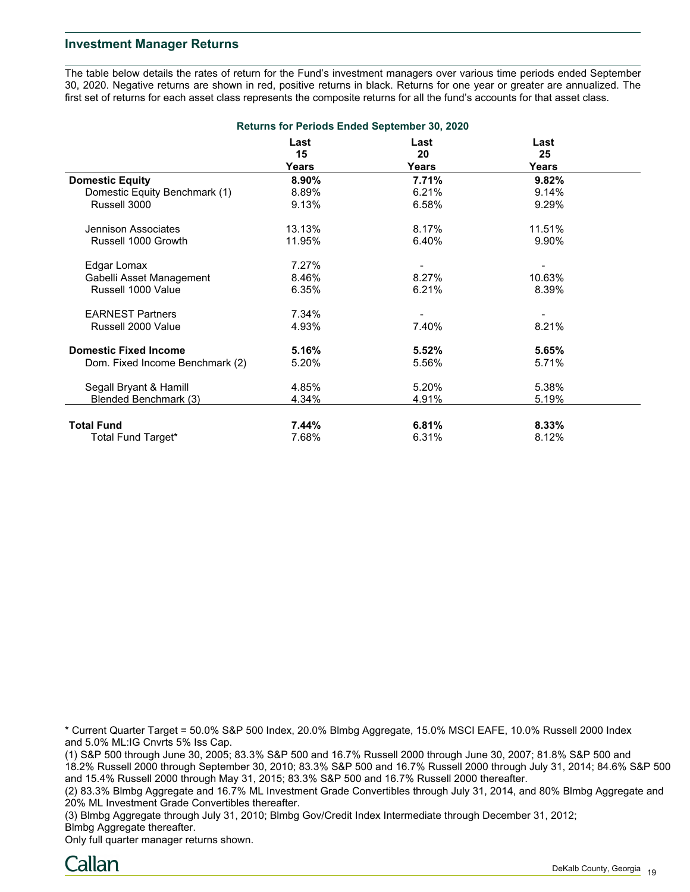## **Investment Manager Returns**

The table below details the rates of return for the Fund's investment managers over various time periods ended September 30, 2020. Negative returns are shown in red, positive returns in black. Returns for one year or greater are annualized. The first set of returns for each asset class represents the composite returns for all the fund's accounts for that asset class.

|                                 |            | <b>Returns for Periods Ended September 30, 2020</b> |            |  |
|---------------------------------|------------|-----------------------------------------------------|------------|--|
|                                 | Last<br>15 | Last<br>20                                          | Last<br>25 |  |
|                                 | Years      | Years                                               | Years      |  |
| <b>Domestic Equity</b>          | 8.90%      | 7.71%                                               | 9.82%      |  |
| Domestic Equity Benchmark (1)   | 8.89%      | 6.21%                                               | 9.14%      |  |
| Russell 3000                    | 9.13%      | 6.58%                                               | 9.29%      |  |
| Jennison Associates             | 13.13%     | 8.17%                                               | 11.51%     |  |
| Russell 1000 Growth             | 11.95%     | 6.40%                                               | 9.90%      |  |
| Edgar Lomax                     | 7.27%      |                                                     |            |  |
| Gabelli Asset Management        | 8.46%      | 8.27%                                               | 10.63%     |  |
| Russell 1000 Value              | 6.35%      | 6.21%                                               | 8.39%      |  |
| <b>EARNEST Partners</b>         | 7.34%      | ۰                                                   |            |  |
| Russell 2000 Value              | 4.93%      | 7.40%                                               | 8.21%      |  |
| <b>Domestic Fixed Income</b>    | 5.16%      | 5.52%                                               | 5.65%      |  |
| Dom. Fixed Income Benchmark (2) | 5.20%      | 5.56%                                               | 5.71%      |  |
| Segall Bryant & Hamill          | 4.85%      | 5.20%                                               | 5.38%      |  |
| Blended Benchmark (3)           | 4.34%      | 4.91%                                               | 5.19%      |  |
| <b>Total Fund</b>               | 7.44%      | 6.81%                                               | 8.33%      |  |
| Total Fund Target*              | 7.68%      | 6.31%                                               | 8.12%      |  |

\* Current Quarter Target = 50.0% S&P 500 Index, 20.0% Blmbg Aggregate, 15.0% MSCI EAFE, 10.0% Russell 2000 Index and 5.0% ML:IG Cnvrts 5% Iss Cap.

(1) S&P 500 through June 30, 2005; 83.3% S&P 500 and 16.7% Russell 2000 through June 30, 2007; 81.8% S&P 500 and 18.2% Russell 2000 through September 30, 2010; 83.3% S&P 500 and 16.7% Russell 2000 through July 31, 2014; 84.6% S&P 500 and 15.4% Russell 2000 through May 31, 2015; 83.3% S&P 500 and 16.7% Russell 2000 thereafter.

(2) 83.3% Blmbg Aggregate and 16.7% ML Investment Grade Convertibles through July 31, 2014, and 80% Blmbg Aggregate and 20% ML Investment Grade Convertibles thereafter.

(3) Blmbg Aggregate through July 31, 2010; Blmbg Gov/Credit Index Intermediate through December 31, 2012; Blmbg Aggregate thereafter.

Only full quarter manager returns shown.